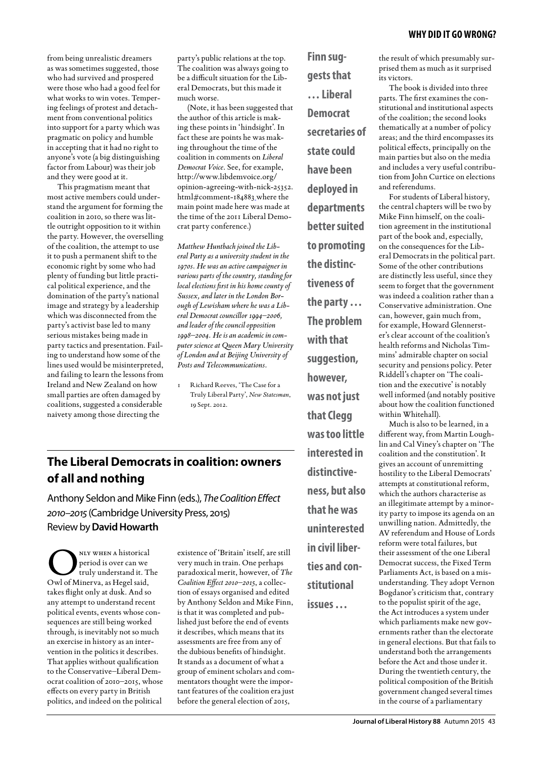from being unrealistic dreamers as was sometimes suggested, those who had survived and prospered were those who had a good feel for what works to win votes. Tempering feelings of protest and detachment from conventional politics into support for a party which was pragmatic on policy and humble in accepting that it had no right to anyone's vote (a big distinguishing factor from Labour) was their job and they were good at it.

This pragmatism meant that most active members could understand the argument for forming the coalition in 2010, so there was little outright opposition to it within the party. However, the overselling of the coalition, the attempt to use it to push a permanent shift to the economic right by some who had plenty of funding but little practical political experience, and the domination of the party's national image and strategy by a leadership which was disconnected from the party's activist base led to many serious mistakes being made in party tactics and presentation. Failing to understand how some of the lines used would be misinterpreted, and failing to learn the lessons from Ireland and New Zealand on how small parties are often damaged by coalitions, suggested a considerable naivety among those directing the

party's public relations at the top. The coalition was always going to be a difficult situation for the Liberal Democrats, but this made it much worse.

(Note, it has been suggested that the author of this article is making these points in 'hindsight'. In fact these are points he was making throughout the time of the coalition in comments on *Liberal Democrat Voice*. See, for example, http://www.libdemvoice.org/ opinion-agreeing-with-nick-25352. html#comment-184883 where the main point made here was made at the time of the 2011 Liberal Democrat party conference.)

*Matthew Huntbach joined the Liberal Party as a university student in the 1970s. He was an active campaigner in various parts of the country, standing for local elections first in his home county of Sussex, and later in the London Borough of Lewisham where he was a Liberal Democrat councillor 1994–2006, and leader of the council opposition 1998–2004. He is an academic in computer science at Queen Mary University of London and at Beijing University of Posts and Telecommunications.*

Richard Reeves, 'The Case for a Truly Liberal Party', *New Statesman*, 19 Sept. 2012.

### **The Liberal Democrats in coalition: owners of all and nothing**

Anthony Seldon and Mike Finn (eds.), *The Coalition Effect 2010–2015* (Cambridge University Press, 2015) Review by **David Howarth**

NLY WHEN A historical<br>period is over can we<br>cruly understand it. Tl<br>Owl of Minerva, as Hegel said, period is over can we truly understand it. The takes flight only at dusk. And so any attempt to understand recent political events, events whose consequences are still being worked through, is inevitably not so much an exercise in history as an intervention in the politics it describes. That applies without qualification to the Conservative–Liberal Democrat coalition of 2010–2015, whose effects on every party in British politics, and indeed on the political

existence of 'Britain' itself, are still very much in train. One perhaps paradoxical merit, however, of *The Coalition Effect 2010–2015*, a collection of essays organised and edited by Anthony Seldon and Mike Finn, is that it was completed and published just before the end of events it describes, which means that its assessments are free from any of the dubious benefits of hindsight. It stands as a document of what a group of eminent scholars and commentators thought were the important features of the coalition era just before the general election of 2015,

**gests that … Liberal Democrat secretaries of state could have been deployed in departments better suited to promoting the distinctiveness of the party … The problem with that suggestion, however, was not just that Clegg was too little interested in distinctiveness, but also that he was uninterested in civil liberties and constitutional issues …**

**Finn sug-**

the result of which presumably surprised them as much as it surprised its victors.

The book is divided into three parts. The first examines the constitutional and institutional aspects of the coalition; the second looks thematically at a number of policy areas; and the third encompasses its political effects, principally on the main parties but also on the media and includes a very useful contribution from John Curtice on elections and referendums.

For students of Liberal history, the central chapters will be two by Mike Finn himself, on the coalition agreement in the institutional part of the book and, especially, on the consequences for the Liberal Democrats in the political part. Some of the other contributions are distinctly less useful, since they seem to forget that the government was indeed a coalition rather than a Conservative administration. One can, however, gain much from, for example, Howard Glennerster's clear account of the coalition's health reforms and Nicholas Timmins' admirable chapter on social security and pensions policy. Peter Riddell's chapter on 'The coalition and the executive' is notably well informed (and notably positive about how the coalition functioned within Whitehall).

Much is also to be learned, in a different way, from Martin Loughlin and Cal Viney's chapter on 'The coalition and the constitution'. It gives an account of unremitting hostility to the Liberal Democrats' attempts at constitutional reform, which the authors characterise as an illegitimate attempt by a minority party to impose its agenda on an unwilling nation. Admittedly, the AV referendum and House of Lords reform were total failures, but their assessment of the one Liberal Democrat success, the Fixed Term Parliaments Act, is based on a misunderstanding. They adopt Vernon Bogdanor's criticism that, contrary to the populist spirit of the age, the Act introduces a system under which parliaments make new governments rather than the electorate in general elections. But that fails to understand both the arrangements before the Act and those under it. During the twentieth century, the political composition of the British government changed several times in the course of a parliamentary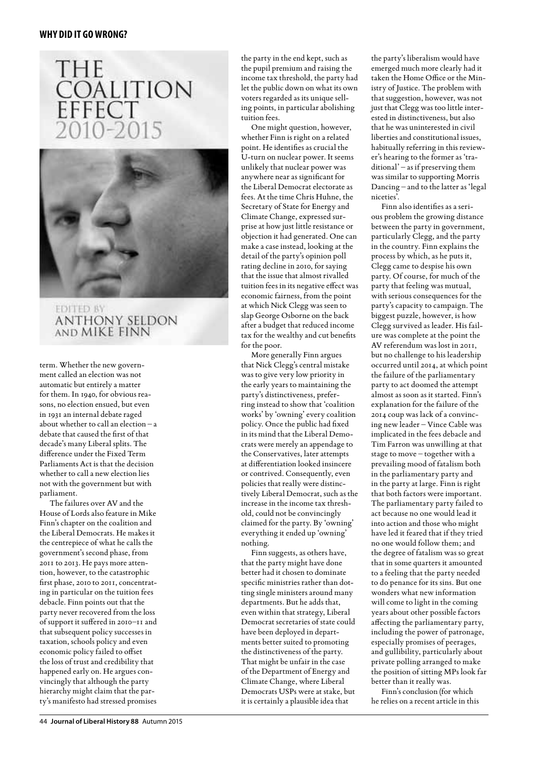## **THE** COALITION **EFFECT**  $() - 2()$



#### **EDITED BY ANTHONY SELDON** AND MIKE FINN

term. Whether the new government called an election was not automatic but entirely a matter for them. In 1940, for obvious reasons, no election ensued, but even in 1931 an internal debate raged about whether to call an election – a debate that caused the first of that decade's many Liberal splits. The difference under the Fixed Term Parliaments Act is that the decision whether to call a new election lies not with the government but with parliament.

The failures over AV and the House of Lords also feature in Mike Finn's chapter on the coalition and the Liberal Democrats. He makes it the centrepiece of what he calls the government's second phase, from 2011 to 2013. He pays more attention, however, to the catastrophic first phase, 2010 to 2011, concentrating in particular on the tuition fees debacle. Finn points out that the party never recovered from the loss of support it suffered in 2010–11 and that subsequent policy successes in taxation, schools policy and even economic policy failed to offset the loss of trust and credibility that happened early on. He argues convincingly that although the party hierarchy might claim that the party's manifesto had stressed promises

the party in the end kept, such as the pupil premium and raising the income tax threshold, the party had let the public down on what its own voters regarded as its unique selling points, in particular abolishing tuition fees.

One might question, however, whether Finn is right on a related point. He identifies as crucial the U-turn on nuclear power. It seems unlikely that nuclear power was anywhere near as significant for the Liberal Democrat electorate as fees. At the time Chris Huhne, the Secretary of State for Energy and Climate Change, expressed surprise at how just little resistance or objection it had generated. One can make a case instead, looking at the detail of the party's opinion poll rating decline in 2010, for saying that the issue that almost rivalled tuition fees in its negative effect was economic fairness, from the point at which Nick Clegg was seen to slap George Osborne on the back after a budget that reduced income tax for the wealthy and cut benefits for the poor.

More generally Finn argues that Nick Clegg's central mistake was to give very low priority in the early years to maintaining the party's distinctiveness, preferring instead to show that 'coalition works' by 'owning' every coalition policy. Once the public had fixed in its mind that the Liberal Democrats were merely an appendage to the Conservatives, later attempts at differentiation looked insincere or contrived. Consequently, even policies that really were distinctively Liberal Democrat, such as the increase in the income tax threshold, could not be convincingly claimed for the party. By 'owning' everything it ended up 'owning' nothing.

Finn suggests, as others have, that the party might have done better had it chosen to dominate specific ministries rather than dotting single ministers around many departments. But he adds that, even within that strategy, Liberal Democrat secretaries of state could have been deployed in departments better suited to promoting the distinctiveness of the party. That might be unfair in the case of the Department of Energy and Climate Change, where Liberal Democrats USPs were at stake, but it is certainly a plausible idea that

the party's liberalism would have emerged much more clearly had it taken the Home Office or the Ministry of Justice. The problem with that suggestion, however, was not just that Clegg was too little interested in distinctiveness, but also that he was uninterested in civil liberties and constitutional issues, habitually referring in this reviewer's hearing to the former as 'traditional' – as if preserving them was similar to supporting Morris Dancing – and to the latter as 'legal niceties'.

Finn also identifies as a serious problem the growing distance between the party in government, particularly Clegg, and the party in the country. Finn explains the process by which, as he puts it, Clegg came to despise his own party. Of course, for much of the party that feeling was mutual, with serious consequences for the party's capacity to campaign. The biggest puzzle, however, is how Clegg survived as leader. His failure was complete at the point the AV referendum was lost in 2011, but no challenge to his leadership occurred until 2014, at which point the failure of the parliamentary party to act doomed the attempt almost as soon as it started. Finn's explanation for the failure of the 2014 coup was lack of a convincing new leader – Vince Cable was implicated in the fees debacle and Tim Farron was unwilling at that stage to move – together with a prevailing mood of fatalism both in the parliamentary party and in the party at large. Finn is right that both factors were important. The parliamentary party failed to act because no one would lead it into action and those who might have led it feared that if they tried no one would follow them; and the degree of fatalism was so great that in some quarters it amounted to a feeling that the party needed to do penance for its sins. But one wonders what new information will come to light in the coming years about other possible factors affecting the parliamentary party, including the power of patronage, especially promises of peerages, and gullibility, particularly about private polling arranged to make the position of sitting MPs look far better than it really was.

Finn's conclusion (for which he relies on a recent article in this